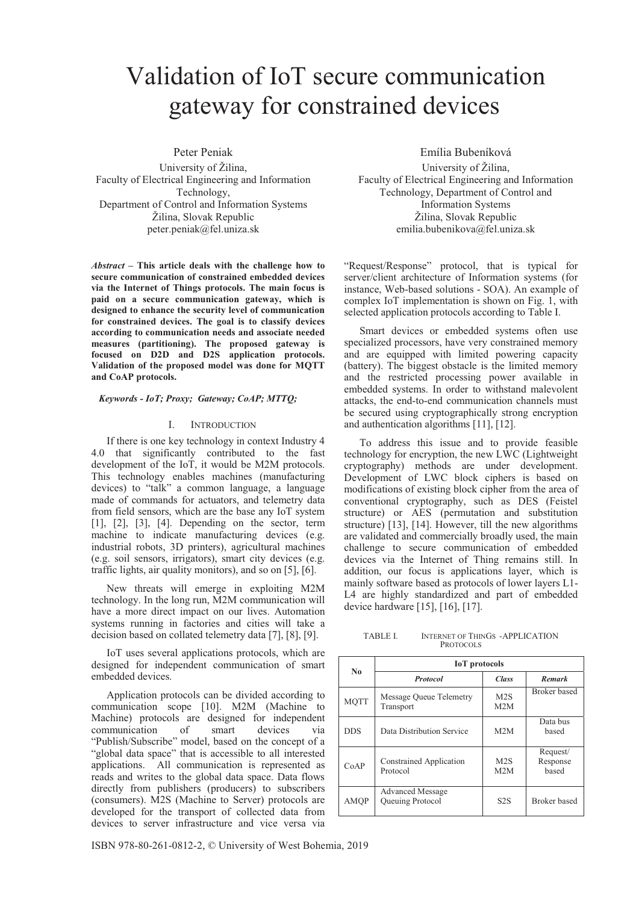# Validation of IoT secure communication gateway for constrained devices

Peter Peniak

University of Žilina, Faculty of Electrical Engineering and Information Technology, Department of Control and Information Systems Žilina, Slovak Republic peter.peniak@fel.uniza.sk

*Abstract –* **This article deals with the challenge how to secure communication of constrained embedded devices via the Internet of Things protocols. The main focus is paid on a secure communication gateway, which is designed to enhance the security level of communication for constrained devices. The goal is to classify devices according to communication needs and associate needed measures (partitioning). The proposed gateway is focused on D2D and D2S application protocols. Validation of the proposed model was done for MQTT and CoAP protocols.** 

## *Keywords - IoT; Proxy; Gateway; CoAP; MTTQ;*

#### I. INTRODUCTION

If there is one key technology in context Industry 4 4.0 that significantly contributed to the fast development of the IoT, it would be M2M protocols. This technology enables machines (manufacturing devices) to "talk" a common language, a language made of commands for actuators, and telemetry data from field sensors, which are the base any IoT system [1], [2], [3], [4]. Depending on the sector, term machine to indicate manufacturing devices (e.g. industrial robots, 3D printers), agricultural machines (e.g. soil sensors, irrigators), smart city devices (e.g. traffic lights, air quality monitors), and so on [5], [6].

New threats will emerge in exploiting M2M technology. In the long run, M2M communication will have a more direct impact on our lives. Automation systems running in factories and cities will take a decision based on collated telemetry data [7], [8], [9].

IoT uses several applications protocols, which are designed for independent communication of smart embedded devices.

Application protocols can be divided according to communication scope [10]. M2M (Machine to Machine) protocols are designed for independent communication of smart devices via "Publish/Subscribe" model, based on the concept of a "global data space" that is accessible to all interested applications. All communication is represented as reads and writes to the global data space. Data flows directly from publishers (producers) to subscribers (consumers). M2S (Machine to Server) protocols are developed for the transport of collected data from devices to server infrastructure and vice versa via

Emília Bubeníková

University of Žilina, Faculty of Electrical Engineering and Information Technology, Department of Control and Information Systems Žilina, Slovak Republic emilia.bubenikova@fel.uniza.sk

"Request/Response" protocol, that is typical for server/client architecture of Information systems (for instance, Web-based solutions - SOA). An example of complex IoT implementation is shown on Fig. 1, with selected application protocols according to Table I.

Smart devices or embedded systems often use specialized processors, have very constrained memory and are equipped with limited powering capacity (battery). The biggest obstacle is the limited memory and the restricted processing power available in embedded systems. In order to withstand malevolent attacks, the end-to-end communication channels must be secured using cryptographically strong encryption and authentication algorithms [11], [12].

To address this issue and to provide feasible technology for encryption, the new LWC (Lightweight cryptography) methods are under development. Development of LWC block ciphers is based on modifications of existing block cipher from the area of conventional cryptography, such as DES (Feistel structure) or AES (permutation and substitution structure) [13], [14]. However, till the new algorithms are validated and commercially broadly used, the main challenge to secure communication of embedded devices via the Internet of Thing remains still. In addition, our focus is applications layer, which is mainly software based as protocols of lower layers L1- L4 are highly standardized and part of embedded device hardware [15], [16], [17].

TABLE I. INTERNET OF THINGS -APPLICATION **PROTOCOLS** 

| N <sub>0</sub> | <b>IoT</b> protocols                        |                  |                               |
|----------------|---------------------------------------------|------------------|-------------------------------|
|                | <b>Protocol</b>                             | Class            | Remark                        |
| <b>MQTT</b>    | Message Queue Telemetry<br>Transport        | M2S<br>M2M       | Broker based                  |
| <b>DDS</b>     | Data Distribution Service                   | M2M              | Data bus<br>based             |
| CoAP           | Constrained Application<br>Protocol         | M2S<br>M2M       | Request/<br>Response<br>based |
| <b>AMOP</b>    | <b>Advanced Message</b><br>Queuing Protocol | S <sub>2</sub> S | <b>Broker</b> based           |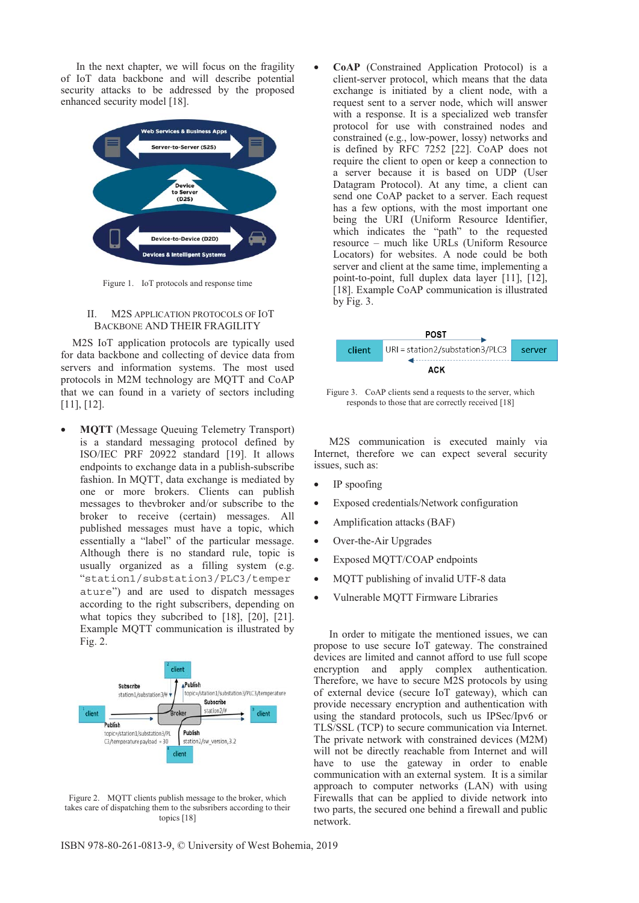In the next chapter, we will focus on the fragility of IoT data backbone and will describe potential security attacks to be addressed by the proposed enhanced security model [18].



Figure 1. IoT protocols and response time

# II. M2S APPLICATION PROTOCOLS OF IOT BACKBONE AND THEIR FRAGILITY

M2S IoT application protocols are typically used for data backbone and collecting of device data from servers and information systems. The most used protocols in M2M technology are MQTT and CoAP that we can found in a variety of sectors including [11], [12].

• **MQTT** (Message Queuing Telemetry Transport) is a standard messaging protocol defined by ISO/IEC PRF 20922 standard [19]. It allows endpoints to exchange data in a publish-subscribe fashion. In MQTT, data exchange is mediated by one or more brokers. Clients can publish messages to thevbroker and/or subscribe to the broker to receive (certain) messages. All published messages must have a topic, which essentially a "label" of the particular message. Although there is no standard rule, topic is usually organized as a filling system (e.g. "station1/substation3/PLC3/temper ature") and are used to dispatch messages according to the right subscribers, depending on what topics they subcribed to [18], [20], [21]. Example MQTT communication is illustrated by Fig. 2.



Figure 2. MQTT clients publish message to the broker, which takes care of dispatching them to the subsribers according to their topics [18]

• **CoAP** (Constrained Application Protocol) is a client-server protocol, which means that the data exchange is initiated by a client node, with a request sent to a server node, which will answer with a response. It is a specialized web transfer protocol for use with constrained nodes and constrained (e.g., low-power, lossy) networks and is defined by RFC 7252 [22]. CoAP does not require the client to open or keep a connection to a server because it is based on UDP (User Datagram Protocol). At any time, a client can send one CoAP packet to a server. Each request has a few options, with the most important one being the URI (Uniform Resource Identifier, which indicates the "path" to the requested resource – much like URLs (Uniform Resource Locators) for websites. A node could be both server and client at the same time, implementing a point-to-point, full duplex data layer [11], [12], [18]. Example CoAP communication is illustrated  $bv$  Fig. 3.



Figure 3. CoAP clients send a requests to the server, which responds to those that are correctly received [18]

M2S communication is executed mainly via Internet, therefore we can expect several security issues, such as:

- IP spoofing
- Exposed credentials/Network configuration
- Amplification attacks (BAF)
- Over-the-Air Upgrades
- Exposed MQTT/COAP endpoints
- MQTT publishing of invalid UTF-8 data
- Vulnerable MQTT Firmware Libraries

In order to mitigate the mentioned issues, we can propose to use secure IoT gateway. The constrained devices are limited and cannot afford to use full scope encryption and apply complex authentication. Therefore, we have to secure M2S protocols by using of external device (secure IoT gateway), which can provide necessary encryption and authentication with using the standard protocols, such us IPSec/Ipv6 or TLS/SSL (TCP) to secure communication via Internet. The private network with constrained devices (M2M) will not be directly reachable from Internet and will have to use the gateway in order to enable communication with an external system. It is a similar approach to computer networks (LAN) with using Firewalls that can be applied to divide network into two parts, the secured one behind a firewall and public network.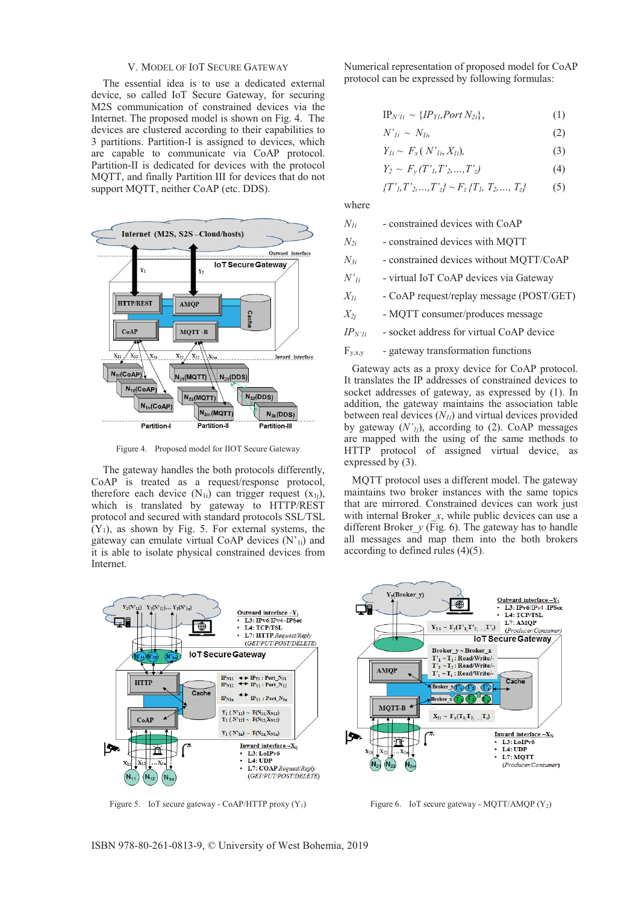## V. MODEL OF IOT SECURE GATEWAY

The essential idea is to use a dedicated external device, so called IoT Secure Gateway, for securing M2S communication of constrained devices via the Internet. The proposed model is shown on Fig. 4. The devices are clustered according to their capabilities to 3 partitions. Partition-I is assigned to devices, which are capable to communicate via CoAP protocol. Partition-II is dedicated for devices with the protocol MQTT, and finally Partition III for devices that do not support MQTT, neither CoAP (etc. DDS).



Figure 4. Proposed model for IIOT Secure Gateway

The gateway handles the both protocols differently, CoAP is treated as a request/response protocol, therefore each device  $(N_{1i})$  can trigger request  $(x_{1i})$ , which is translated by gateway to HTTP/REST protocol and secured with standard protocols SSL/TSL  $(Y_1)$ , as shown by Fig. 5. For external systems, the gateway can emulate virtual CoAP devices  $(N'_{1i})$  and it is able to isolate physical constrained devices from Internet.

Numerical representation of proposed model for CoAP protocol can be expressed by following formulas:

$$
IP_{N'1i} \sim \{IP_{Yl},Port\ N_{2i}\},\tag{1}
$$

$$
N'_{Ii} \sim N_{Ii} \tag{2}
$$

$$
Y_{li} \sim F_x(N'_{li}, X_{li}), \tag{3}
$$

$$
Y_2 \sim F_y(T'_L, T'_2, ..., T'_z) \tag{4}
$$

$$
\{T', T', \ldots, T'_{z}\} \sim F_{z} \{T_{l}, T_{2}, \ldots, T_{z}\}
$$
 (5)

where

- *N1i* constrained devices with CoAP
- *N2i* constrained devices with MQTT
- *N3i* constrained devices without MQTT/CoAP
- *N'1i* virtual IoT CoAP devices via Gateway
- *X1i* CoAP request/replay message (POST/GET)
- *X2j* MQTT consumer/produces message
- *IPN'1i* socket address for virtual CoAP device
- $F_{y,x,y}$  gateway transformation functions

 Gateway acts as a proxy device for CoAP protocol. It translates the IP addresses of constrained devices to socket addresses of gateway, as expressed by (1). In addition, the gateway maintains the association table between real devices  $(N_{1i})$  and virtual devices provided by gateway  $(N'_{ij})$ , according to (2). CoAP messages are mapped with the using of the same methods to HTTP protocol of assigned virtual device, as expressed by (3).

 MQTT protocol uses a different model. The gateway maintains two broker instances with the same topics that are mirrored. Constrained devices can work just with internal Broker *x*, while public devices can use a different Broker  $y$  (Fig. 6). The gateway has to handle all messages and map them into the both brokers according to defined rules (4)(5).



Figure 5. IoT secure gateway - CoAP/HTTP proxy  $(Y_1)$ 



Figure 6. IoT secure gateway - MQTT/AMQP  $(Y_2)$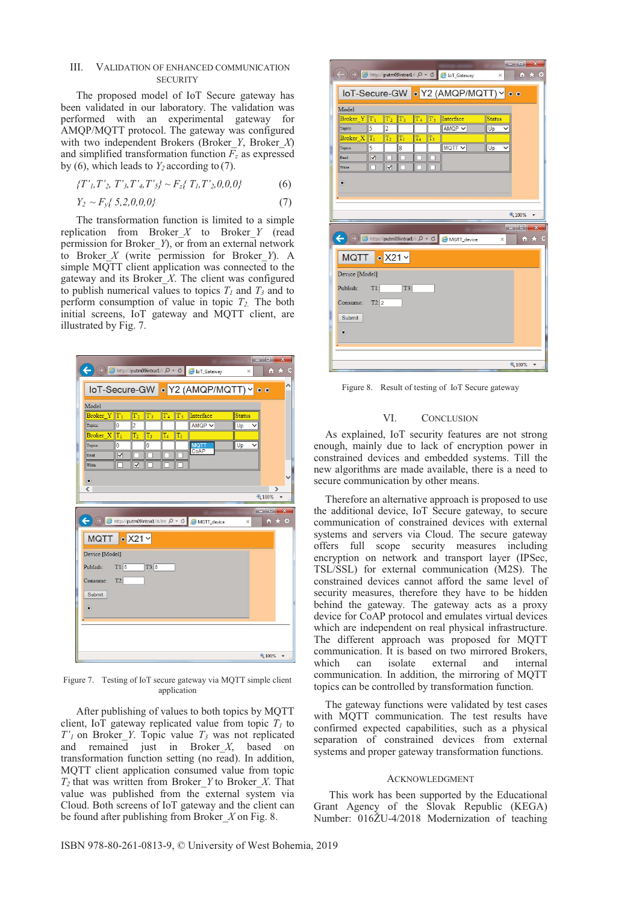# III. VALIDATION OF ENHANCED COMMUNICATION **SECURITY**

The proposed model of IoT Secure gateway has been validated in our laboratory. The validation was performed with an experimental gateway for AMQP/MQTT protocol. The gateway was configured with two independent Brokers (Broker *Y*, Broker *X*) and simplified transformation function  $F_z$  as expressed by (6), which leads to  $Y_2$  according to (7).

$$
\{T', T', T', T', T', T'\mathbf{s}\} \sim F_{z} \{T_{l}, T', 0, 0, 0\} \tag{6}
$$

$$
Y_2 \sim F_{y} \{ 5, 2, 0, 0, 0 \} \tag{7}
$$

The transformation function is limited to a simple replication from Broker\_*X* to Broker\_*Y* (read permission for Broker\_*Y*), or from an external network to Broker\_*X* (write permission for Broker\_*Y*). A simple MQTT client application was connected to the gateway and its Broker\_*X*. The client was configured to publish numerical values to topics  $T_1$  and  $T_3$  and to perform consumption of value in topic *T2*. The both initial screens, IoT gateway and MQTT client, are illustrated by Fig. 7.



Figure 7. Testing of IoT secure gateway via MQTT simple client application

After publishing of values to both topics by MQTT client, IoT gateway replicated value from topic  $T_1$  to *T'1* on Broker\_*Y*. Topic value *T3* was not replicated and remained just in Broker\_*X*, based on transformation function setting (no read). In addition, MQTT client application consumed value from topic  $T_2$  that was written from Broker *Y* to Broker *X*. That value was published from the external system via Cloud. Both screens of IoT gateway and the client can be found after publishing from Broker\_*X* on Fig. 8.



This work has been supported by the Educational Grant Agency of the Slovak Republic (KEGA) Number: 016ŽU-4/2018 Modernization of teaching

The gateway functions were validated by test cases

| <b>CONSTRUCTION</b><br>$\mathbf{x}$<br>$\Rightarrow$ $\bullet$ http://putm09intrar1/i $\circ \bullet$ $\bullet$ $\bullet$ IoT_Gateway<br>☆★☆<br>$\times$ |  |  |  |
|----------------------------------------------------------------------------------------------------------------------------------------------------------|--|--|--|
| loT-Secure-GW • Y2 (AMQP/MQTT) • •                                                                                                                       |  |  |  |
| Model                                                                                                                                                    |  |  |  |
| Broker Y T <sub>1</sub><br>Interface<br>$T_3$<br>$T_5$<br>T <sub>2</sub><br>$T_4$<br><b>Status</b>                                                       |  |  |  |
| 5<br>$\overline{c}$<br>AMQP V<br>Up<br>Topics:                                                                                                           |  |  |  |
| Broker $X$ <sup>T<sub>1</sub></sup><br>T <sub>2</sub><br>T3<br>T4<br>T5                                                                                  |  |  |  |
| MQTT V<br>Up<br>5<br>$\overline{8}$<br>Topics:                                                                                                           |  |  |  |
| $\overline{\mathsf{v}}$<br>Read                                                                                                                          |  |  |  |
| ⊽<br>Write                                                                                                                                               |  |  |  |
| $\bullet$                                                                                                                                                |  |  |  |
|                                                                                                                                                          |  |  |  |
|                                                                                                                                                          |  |  |  |
| € 100%<br>▼                                                                                                                                              |  |  |  |
|                                                                                                                                                          |  |  |  |
| $\Box$<br>$\mathbf x$<br>$\sim$                                                                                                                          |  |  |  |
| $\leftarrow$<br>(→)   http://putm09intrar1/i  P v C      A MGTT_device<br>令★算<br>$\times$                                                                |  |  |  |
| $\sqrt{\phantom{a}}$ X21 $\times$<br>MQTT                                                                                                                |  |  |  |
|                                                                                                                                                          |  |  |  |
| Device [Model]                                                                                                                                           |  |  |  |
| Publish:<br>$T1$ :<br>T3:                                                                                                                                |  |  |  |
|                                                                                                                                                          |  |  |  |
| T2:2<br>Consume:                                                                                                                                         |  |  |  |
| Submit                                                                                                                                                   |  |  |  |
|                                                                                                                                                          |  |  |  |
| $\bullet$                                                                                                                                                |  |  |  |
|                                                                                                                                                          |  |  |  |
|                                                                                                                                                          |  |  |  |
| $@100\%$                                                                                                                                                 |  |  |  |

Figure 8. Result of testing of IoT Secure gateway

### VI. CONCLUSION

As explained, IoT security features are not strong enough, mainly due to lack of encryption power in constrained devices and embedded systems. Till the new algorithms are made available, there is a need to secure communication by other means.

Therefore an alternative approach is proposed to use the additional device, IoT Secure gateway, to secure communication of constrained devices with external systems and servers via Cloud. The secure gateway offers full scope security measures including encryption on network and transport layer (IPSec, TSL/SSL) for external communication (M2S). The constrained devices cannot afford the same level of security measures, therefore they have to be hidden behind the gateway. The gateway acts as a proxy device for CoAP protocol and emulates virtual devices which are independent on real physical infrastructure. The different approach was proposed for MQTT communication. It is based on two mirrored Brokers,<br>which can isolate external and internal can isolate external and internal communication. In addition, the mirroring of MQTT topics can be controlled by transformation function.